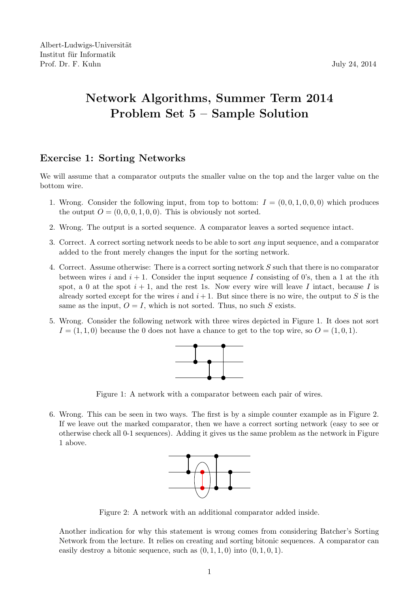## Network Algorithms, Summer Term 2014 Problem Set 5 – Sample Solution

## Exercise 1: Sorting Networks

We will assume that a comparator outputs the smaller value on the top and the larger value on the bottom wire.

- 1. Wrong. Consider the following input, from top to bottom:  $I = (0, 0, 1, 0, 0, 0)$  which produces the output  $O = (0, 0, 0, 1, 0, 0)$ . This is obviously not sorted.
- 2. Wrong. The output is a sorted sequence. A comparator leaves a sorted sequence intact.
- 3. Correct. A correct sorting network needs to be able to sort any input sequence, and a comparator added to the front merely changes the input for the sorting network.
- 4. Correct. Assume otherwise: There is a correct sorting network S such that there is no comparator between wires i and  $i + 1$ . Consider the input sequence I consisting of 0's, then a 1 at the ith spot, a 0 at the spot  $i + 1$ , and the rest 1s. Now every wire will leave I intact, because I is already sorted except for the wires i and  $i+1$ . But since there is no wire, the output to S is the same as the input,  $O = I$ , which is not sorted. Thus, no such S exists.
- 5. Wrong. Consider the following network with three wires depicted in Figure 1. It does not sort  $I = (1, 1, 0)$  because the 0 does not have a chance to get to the top wire, so  $O = (1, 0, 1)$ .



Figure 1: A network with a comparator between each pair of wires.

6. Wrong. This can be seen in two ways. The first is by a simple counter example as in Figure 2. If we leave out the marked comparator, then we have a correct sorting network (easy to see or otherwise check all 0-1 sequences). Adding it gives us the same problem as the network in Figure 1 above.



Figure 2: A network with an additional comparator added inside.

Another indication for why this statement is wrong comes from considering Batcher's Sorting Network from the lecture. It relies on creating and sorting bitonic sequences. A comparator can easily destroy a bitonic sequence, such as  $(0, 1, 1, 0)$  into  $(0, 1, 0, 1)$ .